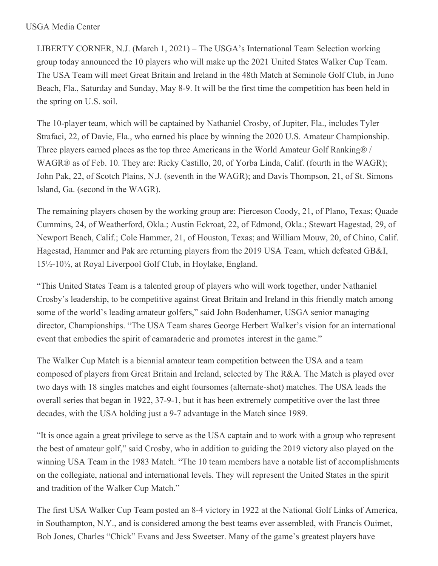## USGA Media Center

LIBERTY CORNER, N.J. (March 1, 2021) – The USGA's International Team Selection working group today announced the 10 players who will make up the 2021 United States Walker Cup Team. The USA Team will meet Great Britain and Ireland in the 48th Match at Seminole Golf Club, in Juno Beach, Fla., Saturday and Sunday, May 8-9. It will be the first time the competition has been held in the spring on U.S. soil.

The 10-player team, which will be captained by Nathaniel Crosby, of Jupiter, Fla., includes Tyler Strafaci, 22, of Davie, Fla., who earned his place by winning the 2020 U.S. Amateur Championship. Three players earned places as the top three Americans in the World Amateur Golf Ranking® / WAGR® as of Feb. 10. They are: Ricky Castillo, 20, of Yorba Linda, Calif. (fourth in the WAGR); John Pak, 22, of Scotch Plains, N.J. (seventh in the WAGR); and Davis Thompson, 21, of St. Simons Island, Ga. (second in the WAGR).

The remaining players chosen by the working group are: Pierceson Coody, 21, of Plano, Texas; Quade Cummins, 24, of Weatherford, Okla.; Austin Eckroat, 22, of Edmond, Okla.; Stewart Hagestad, 29, of Newport Beach, Calif.; Cole Hammer, 21, of Houston, Texas; and William Mouw, 20, of Chino, Calif. Hagestad, Hammer and Pak are returning players from the 2019 USA Team, which defeated GB&I, 15½-10½, at Royal Liverpool Golf Club, in Hoylake, England.

"This United States Team is a talented group of players who will work together, under Nathaniel Crosby's leadership, to be competitive against Great Britain and Ireland in this friendly match among some of the world's leading amateur golfers," said John Bodenhamer, USGA senior managing director, Championships. "The USA Team shares George Herbert Walker's vision for an international event that embodies the spirit of camaraderie and promotes interest in the game."

The Walker Cup Match is a biennial amateur team competition between the USA and a team composed of players from Great Britain and Ireland, selected by The R&A. The Match is played over two days with 18 singles matches and eight foursomes (alternate-shot) matches. The USA leads the overall series that began in 1922, 37-9-1, but it has been extremely competitive over the last three decades, with the USA holding just a 9-7 advantage in the Match since 1989.

"It is once again a great privilege to serve as the USA captain and to work with a group who represent the best of amateur golf," said Crosby, who in addition to guiding the 2019 victory also played on the winning USA Team in the 1983 Match. "The 10 team members have a notable list of accomplishments on the collegiate, national and international levels. They will represent the United States in the spirit and tradition of the Walker Cup Match."

The first USA Walker Cup Team posted an 8-4 victory in 1922 at the National Golf Links of America, in Southampton, N.Y., and is considered among the best teams ever assembled, with Francis Ouimet, Bob Jones, Charles "Chick" Evans and Jess Sweetser. Many of the game's greatest players have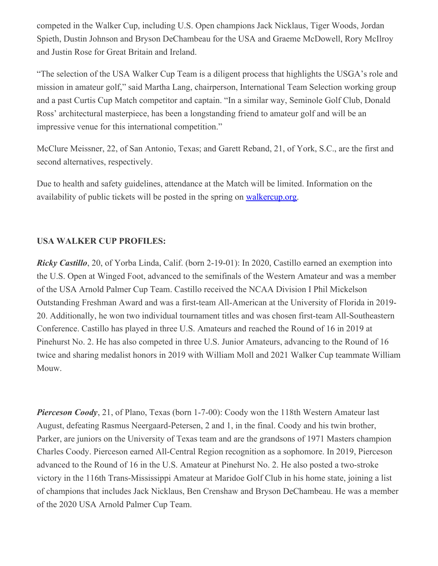competed in the Walker Cup, including U.S. Open champions Jack Nicklaus, Tiger Woods, Jordan Spieth, Dustin Johnson and Bryson DeChambeau for the USA and Graeme McDowell, Rory McIlroy and Justin Rose for Great Britain and Ireland.

"The selection of the USA Walker Cup Team is a diligent process that highlights the USGA's role and mission in amateur golf," said Martha Lang, chairperson, International Team Selection working group and a past Curtis Cup Match competitor and captain. "In a similar way, Seminole Golf Club, Donald Ross' architectural masterpiece, has been a longstanding friend to amateur golf and will be an impressive venue for this international competition."

McClure Meissner, 22, of San Antonio, Texas; and Garett Reband, 21, of York, S.C., are the first and second alternatives, respectively.

Due to health and safety guidelines, attendance at the Match will be limited. Information on the availability of public tickets will be posted in the spring on [walkercup.org](https://nam12.safelinks.protection.outlook.com/?url=http%3A%2F%2Fwww.walkercup.org%2F&data=04%7C01%7CJGeske%40USGA.org%7C3f5545b198a4435cfb2d08d8dcb6237a%7C17abf7083a064391bdbd06808d1b9f81%7C0%7C0%7C637502022139178241%7CUnknown%7CTWFpbGZsb3d8eyJWIjoiMC4wLjAwMDAiLCJQIjoiV2luMzIiLCJBTiI6Ik1haWwiLCJXVCI6Mn0%3D%7C1000&sdata=hReRI5cNYop%2Fqkutmi0xYD3bpznQYINeTNgvp0RyV3U%3D&reserved=0).

## **USA WALKER CUP PROFILES:**

*Ricky Castillo*, 20, of Yorba Linda, Calif. (born 2-19-01): In 2020, Castillo earned an exemption into the U.S. Open at Winged Foot, advanced to the semifinals of the Western Amateur and was a member of the USA Arnold Palmer Cup Team. Castillo received the NCAA Division I Phil Mickelson Outstanding Freshman Award and was a first-team All-American at the University of Florida in 2019- 20. Additionally, he won two individual tournament titles and was chosen first-team All-Southeastern Conference. Castillo has played in three U.S. Amateurs and reached the Round of 16 in 2019 at Pinehurst No. 2. He has also competed in three U.S. Junior Amateurs, advancing to the Round of 16 twice and sharing medalist honors in 2019 with William Moll and 2021 Walker Cup teammate William Mouw.

*Pierceson Coody*, 21, of Plano, Texas (born 1-7-00): Coody won the 118th Western Amateur last August, defeating Rasmus Neergaard-Petersen, 2 and 1, in the final. Coody and his twin brother, Parker, are juniors on the University of Texas team and are the grandsons of 1971 Masters champion Charles Coody. Pierceson earned All-Central Region recognition as a sophomore. In 2019, Pierceson advanced to the Round of 16 in the U.S. Amateur at Pinehurst No. 2. He also posted a two-stroke victory in the 116th Trans-Mississippi Amateur at Maridoe Golf Club in his home state, joining a list of champions that includes Jack Nicklaus, Ben Crenshaw and Bryson DeChambeau. He was a member of the 2020 USA Arnold Palmer Cup Team.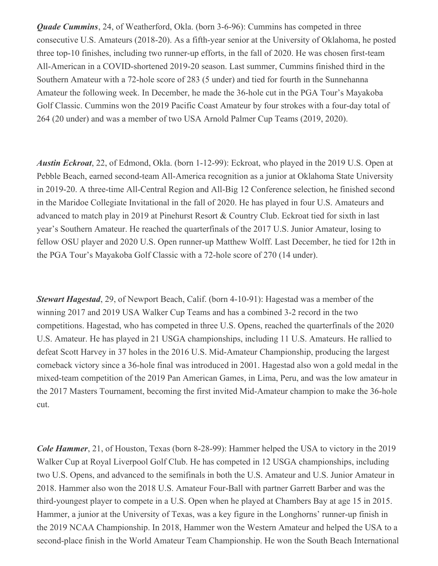*Quade Cummins*, 24, of Weatherford, Okla. (born 3-6-96): Cummins has competed in three consecutive U.S. Amateurs (2018-20). As a fifth-year senior at the University of Oklahoma, he posted three top-10 finishes, including two runner-up efforts, in the fall of 2020. He was chosen first-team All-American in a COVID-shortened 2019-20 season. Last summer, Cummins finished third in the Southern Amateur with a 72-hole score of 283 (5 under) and tied for fourth in the Sunnehanna Amateur the following week. In December, he made the 36-hole cut in the PGA Tour's Mayakoba Golf Classic. Cummins won the 2019 Pacific Coast Amateur by four strokes with a four-day total of 264 (20 under) and was a member of two USA Arnold Palmer Cup Teams (2019, 2020).

*Austin Eckroat*, 22, of Edmond, Okla. (born 1-12-99): Eckroat, who played in the 2019 U.S. Open at Pebble Beach, earned second-team All-America recognition as a junior at Oklahoma State University in 2019-20. A three-time All-Central Region and All-Big 12 Conference selection, he finished second in the Maridoe Collegiate Invitational in the fall of 2020. He has played in four U.S. Amateurs and advanced to match play in 2019 at Pinehurst Resort & Country Club. Eckroat tied for sixth in last year's Southern Amateur. He reached the quarterfinals of the 2017 U.S. Junior Amateur, losing to fellow OSU player and 2020 U.S. Open runner-up Matthew Wolff. Last December, he tied for 12th in the PGA Tour's Mayakoba Golf Classic with a 72-hole score of 270 (14 under).

*Stewart Hagestad*, 29, of Newport Beach, Calif. (born 4-10-91): Hagestad was a member of the winning 2017 and 2019 USA Walker Cup Teams and has a combined 3-2 record in the two competitions. Hagestad, who has competed in three U.S. Opens, reached the quarterfinals of the 2020 U.S. Amateur. He has played in 21 USGA championships, including 11 U.S. Amateurs. He rallied to defeat Scott Harvey in 37 holes in the 2016 U.S. Mid-Amateur Championship, producing the largest comeback victory since a 36-hole final was introduced in 2001. Hagestad also won a gold medal in the mixed-team competition of the 2019 Pan American Games, in Lima, Peru, and was the low amateur in the 2017 Masters Tournament, becoming the first invited Mid-Amateur champion to make the 36-hole cut.

*Cole Hammer*, 21, of Houston, Texas (born 8-28-99): Hammer helped the USA to victory in the 2019 Walker Cup at Royal Liverpool Golf Club. He has competed in 12 USGA championships, including two U.S. Opens, and advanced to the semifinals in both the U.S. Amateur and U.S. Junior Amateur in 2018. Hammer also won the 2018 U.S. Amateur Four-Ball with partner Garrett Barber and was the third-youngest player to compete in a U.S. Open when he played at Chambers Bay at age 15 in 2015. Hammer, a junior at the University of Texas, was a key figure in the Longhorns' runner-up finish in the 2019 NCAA Championship. In 2018, Hammer won the Western Amateur and helped the USA to a second-place finish in the World Amateur Team Championship. He won the South Beach International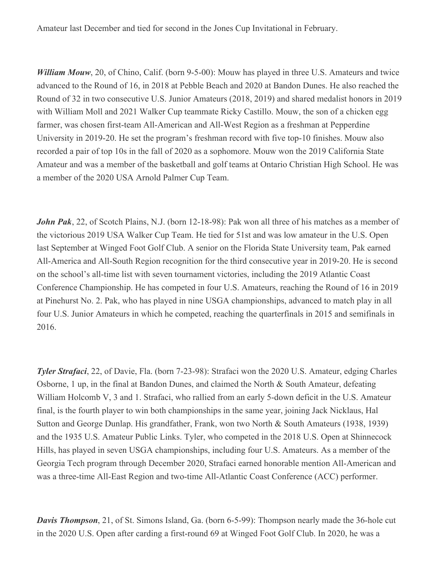Amateur last December and tied for second in the Jones Cup Invitational in February.

*William Mouw*, 20, of Chino, Calif. (born 9-5-00): Mouw has played in three U.S. Amateurs and twice advanced to the Round of 16, in 2018 at Pebble Beach and 2020 at Bandon Dunes. He also reached the Round of 32 in two consecutive U.S. Junior Amateurs (2018, 2019) and shared medalist honors in 2019 with William Moll and 2021 Walker Cup teammate Ricky Castillo. Mouw, the son of a chicken egg farmer, was chosen first-team All-American and All-West Region as a freshman at Pepperdine University in 2019-20. He set the program's freshman record with five top-10 finishes. Mouw also recorded a pair of top 10s in the fall of 2020 as a sophomore. Mouw won the 2019 California State Amateur and was a member of the basketball and golf teams at Ontario Christian High School. He was a member of the 2020 USA Arnold Palmer Cup Team.

*John Pak*, 22, of Scotch Plains, N.J. (born 12-18-98): Pak won all three of his matches as a member of the victorious 2019 USA Walker Cup Team. He tied for 51st and was low amateur in the U.S. Open last September at Winged Foot Golf Club. A senior on the Florida State University team, Pak earned All-America and All-South Region recognition for the third consecutive year in 2019-20. He is second on the school's all-time list with seven tournament victories, including the 2019 Atlantic Coast Conference Championship. He has competed in four U.S. Amateurs, reaching the Round of 16 in 2019 at Pinehurst No. 2. Pak, who has played in nine USGA championships, advanced to match play in all four U.S. Junior Amateurs in which he competed, reaching the quarterfinals in 2015 and semifinals in 2016.

*Tyler Strafaci*, 22, of Davie, Fla. (born 7-23-98): Strafaci won the 2020 U.S. Amateur, edging Charles Osborne, 1 up, in the final at Bandon Dunes, and claimed the North & South Amateur, defeating William Holcomb V, 3 and 1. Strafaci, who rallied from an early 5-down deficit in the U.S. Amateur final, is the fourth player to win both championships in the same year, joining Jack Nicklaus, Hal Sutton and George Dunlap. His grandfather, Frank, won two North & South Amateurs (1938, 1939) and the 1935 U.S. Amateur Public Links. Tyler, who competed in the 2018 U.S. Open at Shinnecock Hills, has played in seven USGA championships, including four U.S. Amateurs. As a member of the Georgia Tech program through December 2020, Strafaci earned honorable mention All-American and was a three-time All-East Region and two-time All-Atlantic Coast Conference (ACC) performer.

*Davis Thompson*, 21, of St. Simons Island, Ga. (born 6-5-99): Thompson nearly made the 36-hole cut in the 2020 U.S. Open after carding a first-round 69 at Winged Foot Golf Club. In 2020, he was a